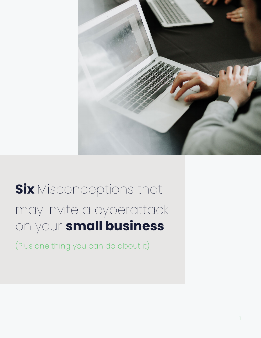

# **Six** Misconceptions that may invite a cyberattack on your **small business**

(Plus one thing you can do about it)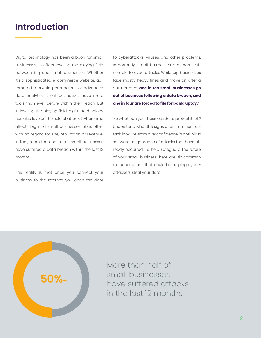#### **Introduction**

Digital technology has been a boon for small businesses, in effect leveling the playing field between big and small businesses. Whether it's a sophisticated e-commerce website, automated marketing campaigns or advanced data analytics, small businesses have more tools than ever before within their reach. But in leveling the playing field, digital technology has also leveled the field of attack. Cybercrime affects big and small businesses alike, often with no regard for size, reputation or revenue. In fact, more than half of all small businesses have suffered a data breach within the last 12 months.<sup>1</sup>

The reality is that once you connect your business to the Internet, you open the door to cyberattacks, viruses and other problems. Importantly, small businesses are more vulnerable to cyberattacks. While big businesses face mostly heavy fines and move on after a data breach, **one in ten small businesses go out of business following a data breach, and one in four are forced to file for bankruptcy.2**

So what can your business do to protect itself? Understand what the signs of an imminent attack look like, from overconfidence in anti-virus software to ignorance of attacks that have already occurred. To help safeguard the future of your small business, here are six common misconceptions that could be helping cyberattackers steal your data.



More than half of small businesses have suffered attacks in the last 12 months<sup>1</sup>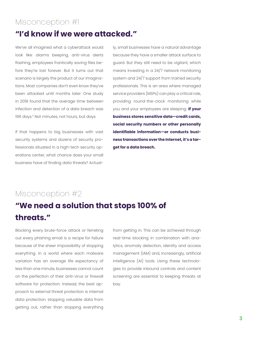#### **"I'd know if we were attacked."**

We've all imagined what a cyberattack would look like: alarms beeping, anti-virus alerts flashing, employees frantically saving files before they're lost forever. But it turns out that scenario is largely the product of our imaginations. Most companies don't even know they've been attacked until months later. One study in 2018 found that the average time between infection and detection of a data breach was 196 days.<sup>3</sup> Not minutes, not hours, but days.

If that happens to big businesses with vast security systems and dozens of security professionals situated in a high-tech security operations center, what chance does your small business have of finding data threats? Actually, small businesses have a natural advantage because they have a smaller attack surface to guard. But they still need to be vigilant, which means investing in a 24/7 network monitoring system and 24/7 support from trained security professionals. This is an area where managed service providers (MSPs) can play a critical role, providing round-the-clock monitoring while you and your employees are sleeping. **If your business stores sensitive data—credit cards, social security numbers or other personally identifiable information—or conducts business transactions over the Internet, it's a target for a data breach.**

### Misconception #2 **"We need a solution that stops 100% of threats."**

Blocking every brute-force attack or ferreting out every phishing email is a recipe for failure because of the sheer impossibility of stopping everything. In a world where each malware variation has an average life expectancy of less than one minute, businesses cannot count on the perfection of their anti-virus or firewall software for protection. Instead, the best approach to external threat protection is internal data protection: stopping valuable data from getting out, rather than stopping everything

from getting in. This can be achieved through real-time blocking in combination with analytics, anomaly detection, identity and access management (IAM) and, increasingly, artificial intelligence (AI) tools. Using these technologies to provide inbound controls and content screening are essential to keeping threats at bay.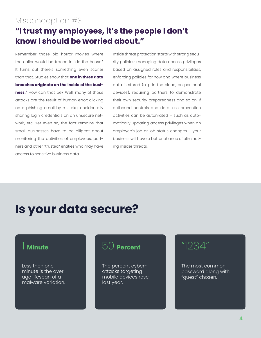#### **"I trust my employees, it's the people I don't know I should be worried about."**

Remember those old horror movies where the caller would be traced inside the house? It turns out there's something even scarier than that. Studies show that **one in three data breaches originate on the inside of the business.4** How can that be? Well, many of those attacks are the result of human error: clicking on a phishing email by mistake, accidentally sharing login credentials on an unsecure network, etc. Yet even so, the fact remains that small businesses have to be diligent about monitoring the activities of employees, partners and other "trusted" entities who may have access to sensitive business data.

Inside threat protection starts with strong security policies: managing data access privileges based on assigned roles and responsibilities, enforcing policies for how and where business data is stored (e.g., in the cloud, on personal devices), requiring partners to demonstrate their own security preparedness and so on. If outbound controls and data loss prevention activities can be automated – such as automatically updating access privileges when an employee's job or job status changes – your business will have a better chance of eliminating insider threats.

## **Is your data secure?**

#### 1 **Minute**

Less then one  $\hbox{\small\it m}$ minute is the average lifespan of a <sub>l</sub> malware variation.

#### 50 **Percent**

The percent cyberattacks targeting mobile devices rose last year.

### "1234"

The most common password along with "guest" chosen.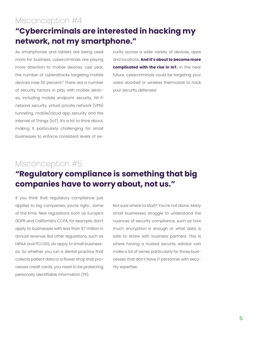#### **"Cybercriminals are interested in hacking my network, not my smartphone."**

As smartphones and tablets are being used more for business, cybercriminals are paying more attention to mobile devices. Last year, the number of cyberattacks targeting mobile devices rose 50 percent.<sup>5</sup> There are a number of security factors in play with mobile devices, including mobile endpoint security, Wi-Fi network security, virtual private network (VPN) tunneling, mobile/cloud app security and the Internet of Things (IoT). It's a lot to think about, making it particularly challenging for small businesses to enforce consistent levels of security across a wide variety of devices, apps and locations. **And it's about to become more complicated with the rise in IoT.** In the near future, cybercriminals could be targeting your video doorbell or wireless thermostat to hack your security defenses!

#### Misconception #5 **"Regulatory compliance is something that big companies have to worry about, not us."**

If you think that regulatory compliance just applies to big companies, you're right… some of the time. New regulations such as Europe's GDPR and California's CCPA, for example, don't apply to businesses with less than \$7 million in annual revenue. But other regulations, such as HIPAA and PCI DSS, do apply to small businesses. So whether you run a dental practice that collects patient data or a flower shop that processes credit cards, you need to be protecting personally identifiable information (PII).

Not sure where to start? You're not alone. Many small businesses struggle to understand the nuances of security compliance, such as how much encryption is enough or what data is safe to share with business partners. This is where having a trusted security advisor can make a lot of sense, particularly for those businesses that don't have IT personnel with security expertise.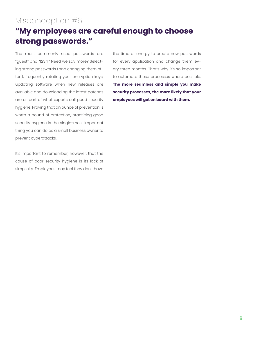#### **"My employees are careful enough to choose strong passwords."**

The most commonly used passwords are "guest" and "1234." Need we say more? Selecting strong passwords (and changing them often), frequently rotating your encryption keys, updating software when new releases are available and downloading the latest patches are all part of what experts call good security hygiene. Proving that an ounce of prevention is worth a pound of protection, practicing good security hygiene is the single-most important thing you can do as a small business owner to prevent cyberattacks.

It's important to remember, however, that the cause of poor security hygiene is its lack of simplicity. Employees may feel they don't have the time or energy to create new passwords for every application and change them every three months. That's why it's so important to automate these processes where possible. **The more seamless and simple you make security processes, the more likely that your employees will get on board with them.**